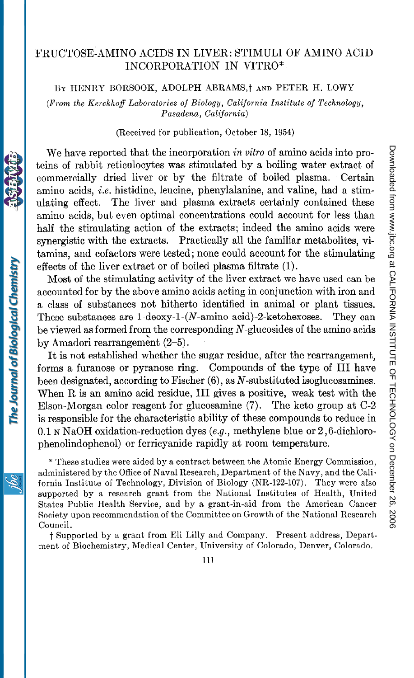# FRUCTOSE-AMINO ACIDS IN LIVER: STIMULI OF AMINO ACID INCORPORATION IN VITRO\*

BY HENRY BORSOOK, ADOLPH ABRAMS,<sup>†</sup> AND PETER H. LOWY

(From the Kerckhoff Laboratories of Biology, California Institute of Technology, Pasadena, California)

(Received for publication, October 18, 1954)

We have reported that the incorporation in vitro of amino acids into proteins of rabbit reticulocytes was stimulated by a boiling water extract of commercially dried liver or by the filtrate of boiled plasma. Certain amino acids, i.e. histidine, leucine, phenylalanine, and valine, had a stimulating effect. The liver and plasma extracts certainly contained these amino acids, but even optimal concentrations could account for less than half the stimulating action of the extracts; indeed the amino acids were synergistic with the extracts. Practically all the familiar metabolites, vitamins, and cofactors were tested; none could account for the stimulating effects of the liver extract or of boiled plasma filtrate (1).

Most of the stimulating activity of the liver extract we have used can be accounted for by the above amino acids acting in conjunction with iron and a class of substances not hitherto identified in animal or plant tissues. These substances are 1-deoxy-1-(N-amino acid)-2-ketohexoses. They can be viewed as formed from the corresponding N-glucosides of the amino acids by Amadori rearrangement (2-5).

It is not established whether the sugar residue, after the rearrangement, forms a furanose or pyranose ring. Compounds of the type of III have been designated, according to Fischer  $(6)$ , as N-substituted isoglucosamines. When R is an amino acid residue, III gives a positive, weak test with the Elson-Morgan color reagent for glucosamine (7). The keto group at C-2 is responsible for the characteristic ability of these compounds to reduce in 0.1 N NaOH oxidation-reduction dyes (e.g., methylene blue or  $2,6$ -dichlorophenolindophenol) or ferricyanide rapidly at room temperature.

\* These studies were aided by a contract between the Atomic Energy Commission, administered by the Office of Naval Research, Department of the Navy, and the California Institute of Technology, Division of Biology (NR-122-107). They were also supported by a research grant from the National Institutes of Health, United States Public Health Service, and by a grant-in-aid from the American Cancer Society upon recommendation of the Committee on Growth of the National Research Council.

t Supported by a grant from Eli Lilly and Company. Present address, Department of Biochemistry, Medical Center, University of Colorado, Denver, Colorado.

The Journal of Biological Chemistry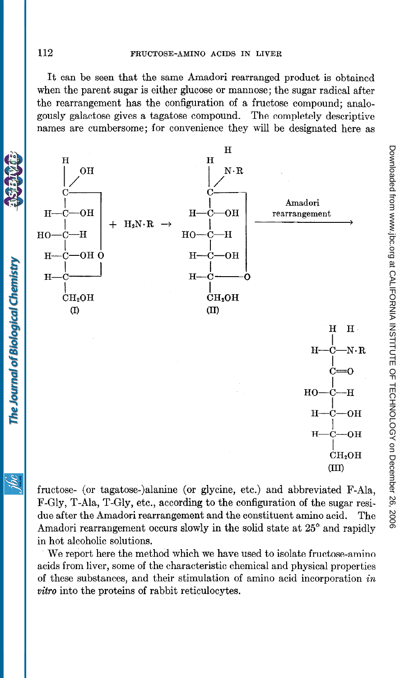It can be seen that the same Amadori rearranged product is obtained when the parent sugar is either glucose or mannose; the sugar radical after the rearrangement has the configuration of a fructose compound; analogously galactose gives a tagatose compound. The completely descriptive names are cumbersome; for convenience they will be designated here as



fructose- (or tagatose-)alanine (or glycine, etc.) and abbreviated F-Ala, F-Gly, T-Ala, T-Gly, etc., according to the configuration of the sugar residue after the Amadori rearrangement and the constituent amino acid. The Amadori rearrangement occurs slowly in the solid state at 25° and rapidly in hot alcoholic solutions.

We report here the method which we have used to isolate fructose-amino acids from liver, some of the characteristic chemical and physical properties of these substances, and their stimulation of amino acid incorporation in vitro into the proteins of rabbit reticulocytes.

The Journal of Biological Chemistry

ŃС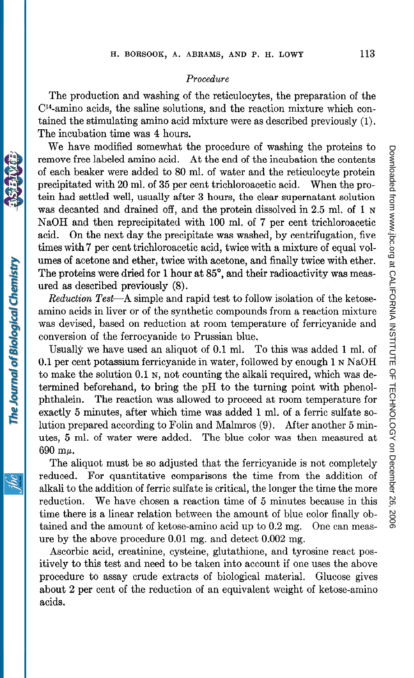## Procedure

The production and washing of the reticulocytes, the preparation of the CY4-amino acids, the saline solutions, and the reaction mixture which contained the stimulating amino acid mixture were as described previously (1). The incubation time was 4 hours.

We have modified somewhat the procedure of washing the proteins to remove free labeled amino acid. At the end of the incubation the contents of each beaker were added to 80 ml. of water and the reticulocyte protein precipitated with 20 ml. of 35 per cent trichloroacetic acid. When the protein had settled well, usually after 3 hours, the clear supernatant solution was decanted and drained off, and the protein dissolved in 2.5 ml. of 1 N NaOH and then reprecipitated with 100 ml. of 7 per cent trichloroacetic acid. On the next day the precipitate was washed, by centrifugation, five times with 7 per cent trichloroacetic acid, twice with a mixture of equal volumes of acetone and ether, twice with acetone, and finally twice with ether. The proteins were dried for 1 hour at 85°, and their radioactivity was measured as described previously (8).

Reduction Test-A simple and rapid test to follow isolation of the ketoseammo acids in liver or of the synthetic compounds from a reaction mixture was devised, based on reduction at room temperature of ferricyanide and conversion of the ferrocyanide to Prussian blue.

Usually we have used an aliquot of 0.1 ml. To this was added 1 ml. of 0.1 per cent potassium ferricyanide in water, followed by enough  $1 \text{ N}\mathbf{A}\text{OH}$ to make the solution 0.1 N, not counting the alkali required, which was determined beforehand, to bring the pH to the turning point with phenolphthalein. The reaction was allowed to proceed at room temperature for exactly 5 minutes, after which time was added 1 ml. of a ferric sulfate solution prepared according to Folin and Malmros (9). After another 5 minutes, 5 ml. of water were added. The blue color was then measured at  $690$  m $\mu$ .

The aliquot must be so adjusted that the ferricyanide is not completely reduced. For quantitative comparisons the time from the addition of alkali to the addition of ferric sulfate is critical, the longer the time the more reduction. We have chosen a reaction time of 5 minutes because in this time there is a linear relation between the amount of blue color finally obtained and the amount of ketose-amino acid up to 0.2 mg. One can measure by the above procedure 0.01 mg. and detect 0.002 mg.

Ascorbic acid, creatinine, cysteine, glutathione, and tyrosine react positively to this test and need to be taken into account if one uses the above procedure to assay crude extracts of biological material. Glucose gives about 2 per cent of the reduction of an equivalent weight of ketose-amino acids.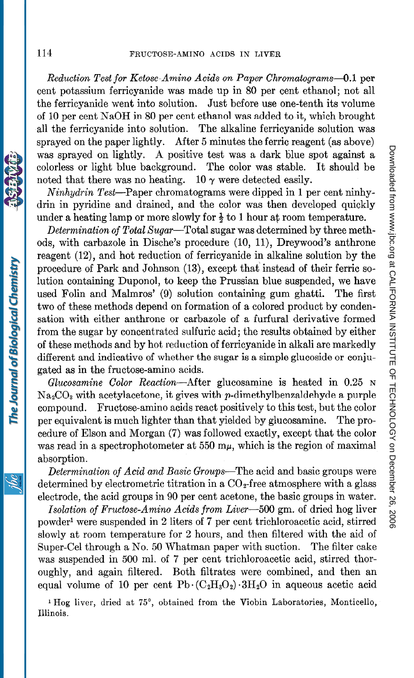Reduction Test for Ketose-Amino Acids on Paper Chromatograms-0.1 per cent potassium ferricyanide was made up in 80 per cent ethanol; not all the ferricyanide went into solution. Just before use one-tenth its volume of 10 per cent NaOH in 80 per cent ethanol was added to it, which brought all the ferricyanide into solution. The alkaline ferricyanide solution was sprayed on the paper lightly. After 5 minutes the ferric reagent (as above) was sprayed on lightly. A positive test was a dark blue spot against a colorless or light blue background. The color was stable. It should be noted that there was no heating. 10  $\gamma$  were detected easily.

Ninhydrin Test-Paper chromatograms were dipped in 1 per cent ninhydrin in pyridine and drained, and the color was then developed quickly under a heating lamp or more slowly for  $\frac{1}{2}$  to 1 hour at room temperature.

Determination of Total Sugar-Total sugar was determined by three methods, with carbazole in Dische's procedure (10, 11), Dreywood's anthrone reagent (12), and hot reduction of ferricyanide in alkaline solution by the procedure of Park and Johnson (13), except that instead of their ferric solution containing Duponol, to keep the Prussian blue suspended, we have used Folin and Malmros' (9) solution containing gum ghatti. The first two of these methods depend on formation of a colored product by condensation with either anthrone or carbazole of a furfural derivative formed from the sugar by concentrated sulfuric acid; the results obtained by either of these methods and by hot reduction of ferricyanide in alkali are markedly different and indicative of whether the sugar is a simple glucoside or conjugated as in the fructose-amino acids.

Glucosamine Color Reaction-After glucosamine is heated in 0.25 <sup>N</sup>  $Na<sub>2</sub>CO<sub>3</sub>$  with acetylacetone, it gives with p-dimethylbenzaldehyde a purple compound. Fructose-amino acids react positively to this test, but the color per equivalent is much lighter than that yielded by glucosamine. The procedure of Elson and Morgan (7) was followed exactly, except that the color was read in a spectrophotometer at 550  $m\mu$ , which is the region of maximal absorption.

Determination of Acid and Basic Groups—The acid and basic groups were determined by electrometric titration in a  $CO<sub>2</sub>$ -free atmosphere with a glass electrode, the acid groups in 90 per cent acetone, the basic groups in water.

Isolation of Fructose-Amino Acids from Liver-500 gm. of dried hog liver powder' were suspended in 2 liters of 7 per cent trichloroacetic acid, stirred slowly at room temperature for 2 hours, and then filtered with the aid of Super-Cel through a No. 50 Whatman paper with suction. The filter cake was suspended in 500 ml. of 7 per cent trichloroacetic acid, stirred thoroughly, and again filtered. Both filtrates were combined, and then an equal volume of 10 per cent Pb $(C_2H_3O_2)$  -3H<sub>2</sub>O in aqueous acetic acid

<sup>1</sup> Hog liver, dried at 75°, obtained from the Viobin Laboratories, Monticello, Illinois.



The Journal of Biological Chemistry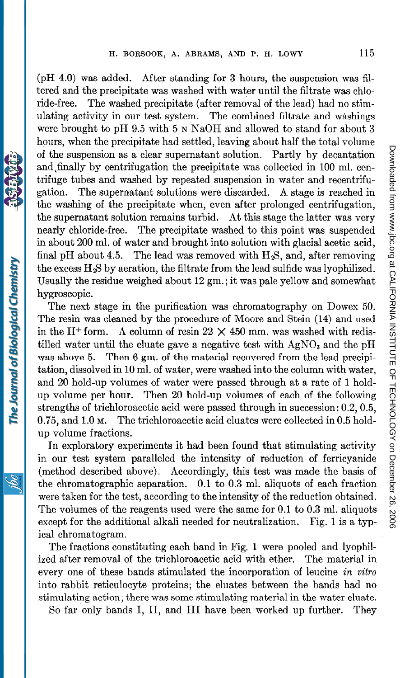(pH 4.0) was added. After standing for 3 hours, the suspension was filtered and the precipitate was washed with water until the filtrate was chloride-free. The washed precipitate (after removal of the lead) had no stimulating activity in our test system. The combined filtrate and washings were brought to pH 9.5 with 5 N NaOH and allowed to stand for about 3 hours, when the precipitate had settled, leaving about half the total volume of the suspension as a clear supernatant solution. Partly by decantation and,finally by centrifugation the precipitate was collected in 100 ml. centrifuge tubes and washed by repeated suspension in water and recentrifugation. The supernatant solutions were discarded. A stage is reached in the washing of the precipitate when, even after prolonged centrifugation, the supernatant solution remains turbid. At this stage the latter was very nearly chloride-free. The precipitate washed to this point was suspended in about 200 ml. of water and brought into solution with glacial acetic acid, final pH about 4.5. The lead was removed with  $H_2S$ , and, after removing the excess  $H_2S$  by aeration, the filtrate from the lead sulfide was lyophilized. Usually the residue weighed about 12 gm.; it was pale yellow and somewhat hygroscopic.

The next stage in the purification was chromatography on Dowex 50. The resin was cleaned by the procedure of Moore and Stein (14) and used in the H<sup>+</sup> form. A column of resin  $22 \times 450$  mm. was washed with redistilled water until the eluate gave a negative test with  $AgNO<sub>3</sub>$  and the pH was above 5. Then 6 gm. of the material recovered from the lead precipitation, dissolved in 10 ml. of water, were washed into the column with water, and 20 hold-up volumes of water were passed through at a rate of 1 holdup volume per hour. Then 20 hold-up volumes of each of the following strengths of trichloroacetic acid were passed through in succession: 0.2,0.5, 0.75, and 1.0 M. The trichloroacetic acid eluates were collected in 0.5 holdup volume fractions.

In exploratory experiments it had been found that stimulating activity in our test system paralleled the intensity of reduction of ferricyanide (method described above). Accordingly, this test was made the basis of the chromatographic separation. 0.1 to 0.3 ml. aliquots of each fraction were taken for the test, according to the intensity of the reduction obtained. The volumes of the reagents used were the same for 0.1 to 0.3 ml. aliquots except for the additional alkali needed for neutralization. Fig. 1 is a typical chromatogram.

The fractions constituting each band in Fig. 1 were pooled and lyophilized after removal of the trichloroacetic acid with ether. The material in every one of these bands stimulated the incorporation of leucine in vitro into rabbit reticulocyte proteins; the eluates between the bands had no stimulating action; there was some stimulating material in the mater eluate.

So far only bands I, II, and III have been worked up further. They

Dowswission www.sip.co.g at GALIFORTNINE DE TECHNONS IS the SS 2000 at CALIFORNIA INSTITUTE OF TECHNOLOGY on December 26, 2006 [www.jbc.org](http://www.jbc.org) Downloaded from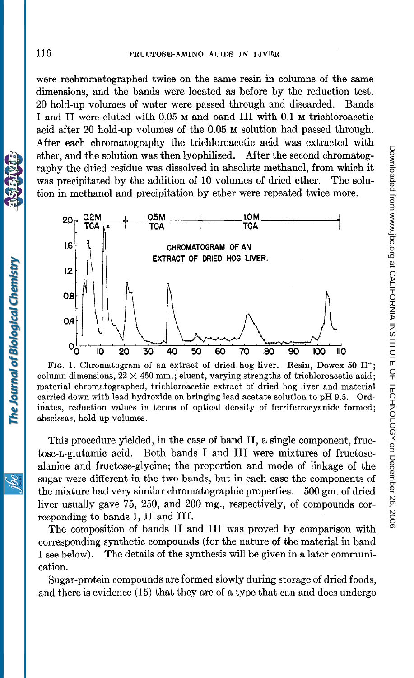were rechromatographed twice on the same resin in columns of the same dimensions, and the bands were located as before by the reduction test. 20 hold-up volumes of water were passed through and discarded. Bands I and II were eluted with 0.05 M and band III with 0.1 M trichloroacetic acid after 20 hold-up volumes of the 0.05 M solution had passed through. After each chromatography the trichloroacetic acid was extracted with ether, and the solution was then lyophilized. After the second chromatography the dried residue was dissolved in absolute methanol, from which it was precipitated by the addition of 10 volumes of dried ether. The solution in methanol and precipitation by ether were repeated twice more.



FIG. 1. Chromatogram of an extract of dried hog liver. Resin, Dowex 50 H+; column dimensions,  $22 \times 450$  mm.; eluent, varying strengths of trichloroacetic acid; material chromatographed, trichloroacetic extract of dried hog liver and material carried down with lead hydroxide on bringing lead acetate solution to pH 9.5. Ordinates, reduction values in terms of optical density of ferriferrocyanide formed; abscissas, hold-up volumes.

This procedure yielded, in the case of band II, a single component, fructose-L-glutamic acid. Both bands I and III were mixtures of fructosealanine and fructose-glycine; the proportion and mode of linkage of the sugar were different in the two bands, but in each case the components of the mixture had very similar chromatographic properties. 500 gm. of dried liver usually gave 75, 250, and 200 mg., respectively, of compounds corresponding to bands I, II and III.

The composition of bands II and III was proved by comparison with corresponding synthetic compounds (for the nature of the material in band I see below). The details of the synthesis will be given in a later communication.

Sugar-protein compounds are formed slowly during storage of dried foods, and there is evidence (15) that they are of a type that can and does undergo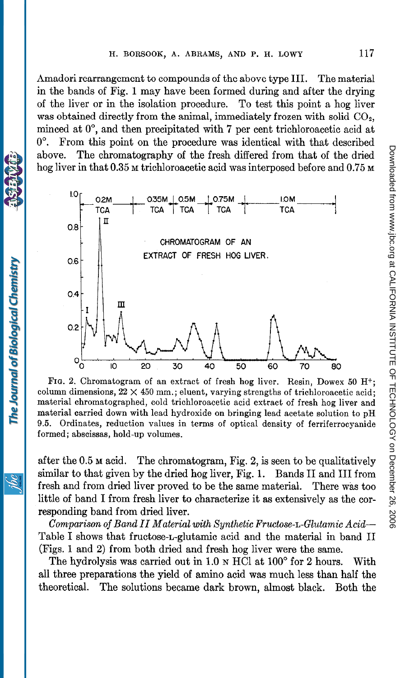Amadori rearrangement to compounds of the above type III. The material in the bands of Fig. 1 may have been formed during and after the drying of the liver or in the isolation procedure. To test this point a hog liver was obtained directly from the animal, immediately frozen with solid  $CO<sub>2</sub>$ , minced at O", and then precipitated with 7 per cent trichloroacetic acid at 0". From this point on the procedure was identical with that described above. The chromatography of the fresh differed from that of the dried hog liver in that 0.35 M trichloroacetic acid was interposed before and 0.75 M



FIG. 2. Chromatogram of an extract of fresh hog liver. Resin, Dowex 50  $H^+$ ; column dimensions,  $22 \times 450$  mm.; eluent, varying strengths of trichloroacetic acid; material chromatographed, cold trichloroacetic acid extract of fresh hog liver and material carried down with lead hydroxide on bringing lead acetate solution to pH 9.5. Ordinates, reduction values in terms of optical density of ferriferrocyanide formed; abscissas, hold-up volumes.

after the 0.5 M acid. The chromatogram, Fig. 2, is seen to be qualitatively similar to that given by the dried hog liver, Fig. 1. Bands II and III from fresh and from dried liver proved to be the same material. There was too little of band I from fresh liver to characterize it as extensively as the corresponding band from dried liver.

Comparison of Band II Material with Synthetic Fructose-L-Glutamic Acid-Table I shows that fructose-n-glutamic acid and the material in band II (Figs. 1 and 2) from both dried and fresh hog liver were the same.

The hydrolysis was carried out in  $1.0 \text{ N HCl}$  at  $100^{\circ}$  for 2 hours. With all three preparations the yield of amino acid was much less than half the theoretical. The solutions became dark brown, almost black. Both the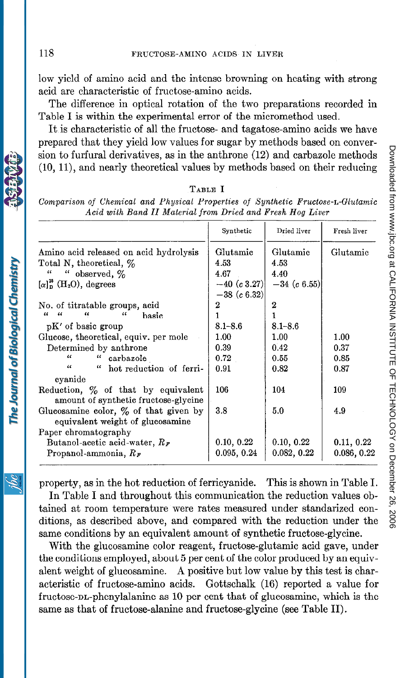low yield of amino acid and the intense browning on heating with strong acid are characteristic of fructose-amino acids.

The difference in optical rotation of the two preparations recorded in Table I is within the experimental error of the micromethod used.

It is characteristic of all the fructose- and tagatose-amino acids we have prepared that they yield low values for sugar by methods based on conversion to furfural derivatives, as in the anthrone (12) and carbazole methods (10, ll), and nearly theoretical values by methods based on their reducing

# TABLE I

Comparison of Chemical and Physical Properties of Synthetic Fructose-L-Glutamic Acid with Band II Material from Dried and Fresh Hog Liver

|                                                          | Synthetic      | Dried liver    | Fresh liver<br>Glutamic |  |
|----------------------------------------------------------|----------------|----------------|-------------------------|--|
| Amino acid released on acid hydrolysis                   | Glutamic       | Glutamic       |                         |  |
| Total N, theoretical, %                                  | 4.53           | 4.53           |                         |  |
| "<br>" observed, $\%$                                    | 4.67           | 4.40           |                         |  |
| $\left[\alpha\right]_D^{25}$ (H <sub>2</sub> O), degrees | $-40$ (c 3.27) | $-34$ (c 6.55) |                         |  |
|                                                          | $-38~(c~6.32)$ |                |                         |  |
| No. of titratable groups, acid                           | 2              | $\overline{2}$ |                         |  |
| $\mathcal{U}$<br>$\epsilon$<br>"<br>$\epsilon$<br>basic  |                |                |                         |  |
| pK' of basic group                                       | $8.1 - 8.6$    | $8.1 - 8.6$    |                         |  |
| Glucose, theoretical, equiv. per mole                    | 1.00           | 1.00           | 1.00                    |  |
| Determined by anthrone                                   | 0.39           | 0.42           | 0.37                    |  |
| $\epsilon$<br>$\epsilon$<br>carbazole                    | 0.72           | 0.55           | 0.85                    |  |
| $\epsilon$<br>" hot reduction of ferri-                  | 0.91           | 0.82           | 0.87                    |  |
| cyanide                                                  |                |                |                         |  |
| Reduction, % of that by equivalent                       | 106            | 104            | 109                     |  |
| amount of synthetic fructose-glycine                     |                |                |                         |  |
| Glucosamine color, $\%$ of that given by                 | 3.8            | 5.0            | 4.9                     |  |
| equivalent weight of glucosamine                         |                |                |                         |  |
| Paper chromatography                                     |                |                |                         |  |
| Butanol-acetic acid-water, $R_F$                         | 0.10, 0.22     | 0.10, 0.22     | 0.11, 0.22              |  |
| Propanol-ammonia, $R_F$                                  | 0.095, 0.24    | 0.082, 0.22    | 0.086, 0.22             |  |

property, as in the hot reduction of ferricyanide. This is shown in Table I.

In Table I and throughout this communication the reduction values obtained at room temperature were rates measured under standarized conditions, as described above, and compared with the reduction under the same conditions by an equivalent amount of synthetic fructose-glycine.

With the glucosamine color reagent, fructose-glutamic acid gave, under the conditions employed, about 5 per cent of the color produced by an equivalent weight of glucosamine. A positive but low value by this test is characteristic of fructose-amino acids. Gottschalk (16) reported a value for fructose-nn-phenylalanine as 10 per cent that of glucosamine, which is the same as that of fructose-alanine and fructose-glycine (see Table II).

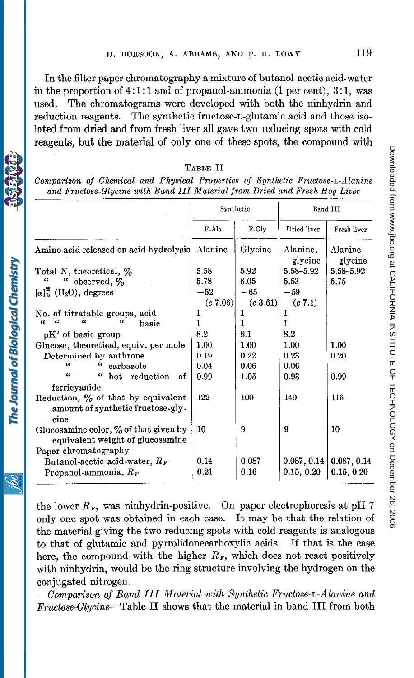In the filter paper chromatography a mixture of butanol-acetic acid-water in the proportion of  $4:1:1$  and of propanol-ammonia (1 per cent),  $3:1$ , was used. The chromatograms were developed with both the ninhydrin and reduction reagents. The synthetic fructose-L-glutamic acid and those isolated from dried and from fresh liver all gave two reducing spots with cold reagents, but the material of only one of these spots, the compound with

| I<br>., |  |
|---------|--|
|---------|--|

Comparison of Chemical and Physical Properties of Synthetic Fructose-L-Alanine and Fructose-Glycine with Band III Material from Dried and Fresh Hog Liver

|                                                                                                      | Synthetic    |               | Band III                  |                           |  |
|------------------------------------------------------------------------------------------------------|--------------|---------------|---------------------------|---------------------------|--|
|                                                                                                      | F-Ala        | F-Gly         | Dried liver               | Fresh liver               |  |
| Amino acid released on acid hydrolysis                                                               | Alanine      | Glycine       | Alanine,<br>glycine       | Alanine,<br>glycine       |  |
| Total N, theoretical, $\%$                                                                           | 5.58         | 5.92          | 5.58-5.92                 | 5.58-5.92                 |  |
| $\epsilon$<br>observed, %<br>$\epsilon$                                                              | 5.78         | 6.05          | 5.53                      | 5.75                      |  |
| $\left[\alpha\right]_D^{2}$ (H <sub>2</sub> O), degrees                                              | $-52$        | $-65$         | $-59$                     |                           |  |
|                                                                                                      | (c 7.06)     | (c 3.61)      | (c 7.1)                   |                           |  |
| No. of titratable groups, acid                                                                       | 1            | 1             | 1                         |                           |  |
| $\epsilon$<br>$\epsilon$<br>$\epsilon$<br>u<br>basic                                                 | 1            | 1             | 1                         |                           |  |
| pK' of basic group                                                                                   | 8.2          | 8.1           | 8.2                       |                           |  |
| Glucose, theoretical, equiv. per mole                                                                | 1.00         | 1.00          | 1.00                      | 1.00                      |  |
| Determined by anthrone                                                                               | 0.19         | 0.22          | 0.23                      | 0.20                      |  |
| $\epsilon$<br>"<br>carbazole                                                                         | 0.04         | 0.06          | 0.06                      |                           |  |
| "<br>$\epsilon\epsilon$<br>hot reduction of                                                          | 0.99         | 1.05          | 0.93                      | 0.99                      |  |
| ferricyanide                                                                                         |              |               |                           |                           |  |
| Reduction, % of that by equivalent<br>amount of synthetic fructose-gly-<br>cine                      | 122          | 100           | 140                       | 116                       |  |
| Glucosamine color, $\%$ of that given by<br>equivalent weight of glucosamine<br>Paper chromatography | 10           | 9             | 9                         | 10                        |  |
| Butanol-acetic acid-water, $R_F$<br>Propanol-ammonia, $R_F$                                          | 0.14<br>0.21 | 0.087<br>0.16 | 0.087, 0.14<br>0.15, 0.20 | 0.087, 0.14<br>0.15, 0.20 |  |

the lower  $R<sub>F</sub>$ , was ninhydrin-positive. On paper electrophoresis at pH 7 only one spot was obtained in each case. It may be that the relation of the material giving the two reducing spots with cold reagents is analogous to that of glutamic and pyrrolidonecarboxylic acids. If that is the case here, the compound with the higher  $R<sub>F</sub>$ , which does not react positively with ninhydrin, would be the ring structure involving the hydrogen on the conjugated nitrogen.

Comparison of Band III Material with Synthetic Fructose-L-Alanine and Fructose-Glycine-Table II shows that the material in band III from both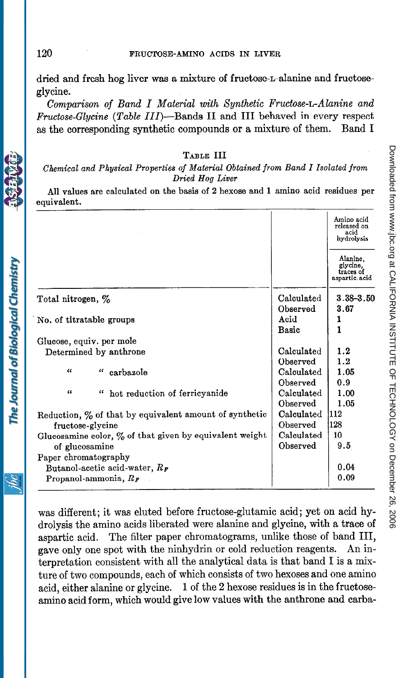dried and fresh hog liver was a mixture of fructose-L-alanine and fructoseglycine.

Comparison of Band I Material with Synthetic Fructose-L-Alanine and Fructose-Glycine (Table III)-Bands II and III behaved in every respect as the corresponding synthetic compounds or a mixture of them. Band I

### TABLE III

Chemical and Physical Properties of Material Obtained from Band I Isolated from Dried Hog Liver

All values are calculated on the basis of 2 hexose and 1 amino acid residues per equivalent.

|                                                            |            | Amino acid<br>released on<br>acid<br>hydrolysis    |
|------------------------------------------------------------|------------|----------------------------------------------------|
|                                                            |            | Alanine,<br>glycine.<br>traces of<br>aspartic.acid |
| Total nitrogen, %                                          | Calculated | $3.38 - 3.50$                                      |
|                                                            | Observed   | 3.67                                               |
| No. of titratable groups                                   | Acid       | 1                                                  |
|                                                            | Basic      | 1                                                  |
| Glucose, equiv. per mole                                   |            |                                                    |
| Determined by anthrone                                     | Calculated | 1.2                                                |
|                                                            | Observed   | 1.2                                                |
| "<br>"<br>carbazole                                        | Calculated | 1.05                                               |
|                                                            | Observed   | 0.9                                                |
| "<br>" hot reduction of ferricyanide                       | Calculated | 1.00                                               |
|                                                            | Observed   | 1.05                                               |
| Reduction, $\%$ of that by equivalent amount of synthetic  | Calculated | 1112                                               |
| fructose-glycine                                           | Observed   | 128                                                |
| Glucosamine color, $\%$ of that given by equivalent weight | Calculated | 10                                                 |
| of glucosamine                                             | Observed   | 9.5                                                |
| Paper chromatography                                       |            |                                                    |
| Butanol-acetic acid-water, $R_F$                           |            | 0.04                                               |
| Propanol-ammonia, $R_F$                                    |            | 0.09                                               |

was different; it was eluted before fructose-glutamic acid; yet on acid hydrolysis the amino acids liberated were alanine and glycine, with a trace of aspartic acid. The filter paper chromatograms, unlike those of band III, gave only one spot with the ninhydrin or cold reduction reagents. An interpretation consistent with all the analytical data is that band I is a mixture of two compounds, each of which consists of two hexoses and one amino acid, either alanine or glycine. 1 of the 2 hexose residues is in the fructoseamino acid form, which would give low values with the anthrone and carba-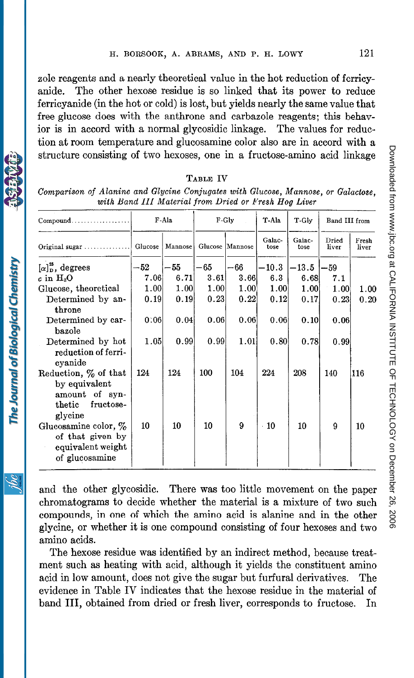zole reagents and a nearly theoretical value in the hot reduction of ferricyanide. The other hexose residue is so linked that its power to reduce ferricyanide (in the hot or cold) is lost, but yields nearly the same value that free glucose does with the anthrone and carbazole reagents; this behavior is in accord with a normal glycosidic linkage. The values for reduction at room temperature and glucosamine color also are in accord with a structure consisting of two hexoses, one in a fructose-amino acid linkage

| $Combound$                                                                                | F-Ala   |         | F-Gly   |                 | T-Ala          |                |                | T-Gly          | Band III from |  |
|-------------------------------------------------------------------------------------------|---------|---------|---------|-----------------|----------------|----------------|----------------|----------------|---------------|--|
| Original sugar $\dots \dots \dots \dots$                                                  | Glucose | Mannose |         | Glucose Mannose | Galac-<br>tose | Galac-<br>tose | Dried<br>liver | Fresh<br>liver |               |  |
| $\left[\alpha\right]_D^{25}$ , degrees                                                    | $-52\,$ | -55     | $-65\,$ | -66             | $-10.3$        | $-13.5$        | $-59$          |                |               |  |
| $c$ in $\rm H_2O$                                                                         | 7.06    | 6.71    | 3.61    | 3.66            | 6.3            | 6.68           | 7.1            |                |               |  |
| Glucose, theoretical                                                                      | 1.00    | 1.00    | 1.00    | 1.00            | 1.00           | 1.00           | 1.00           | 1.00           |               |  |
| Determined by an-<br>throne                                                               | 0.19    | 0.19    | 0.23    | 0.22            | 0.12           | 0.17           | 0.23           | 0.20           |               |  |
| Determined by car-<br>bazole                                                              | 0:06    | 0.04    | 0.06    | 0.06            | 0.06           | 0.10           | 0.06           |                |               |  |
| Determined by hot<br>reduction of ferri-<br>cyanide                                       | 1.05    | 0.99    | 0.99    | 1.01            | 0.80           | 0.78           | 0.99           |                |               |  |
| Reduction, % of that<br>by equivalent<br>amount of syn-<br>thetic<br>fructose-<br>glycine | 124     | 124     | 100     | 104             | 224            | 208            | 140            | 116            |               |  |
| Glucosamine color, $\%$<br>of that given by<br>equivalent weight<br>of glucosamine        | 10      | 10      | 10      | 9               | $-10$          | 10             | 9              | 10             |               |  |

TABLE IV

Comparison of Alanine and Glycine Conjugates with Glucose, Mannose, or Galactose, riannic and digene conjugates with diacose, mannie

and the other glycosidic. There was too little movement on the paper chromatograms to decide whether the material is a mixture of two such compounds, in one of which the amino acid is alanine and in the other glycine, or whether it is one compound consisting of four hexoses and two amino acids.

The hexose residue was identified by an indirect method, because treatment such as heating with acid, although it yields the constituent amino acid in low amount, does not give the sugar but furfural derivatives. The evidence in Table IV indicates that the hexose residue in the material of band III, obtained from dried or fresh liver, corresponds to fructose. In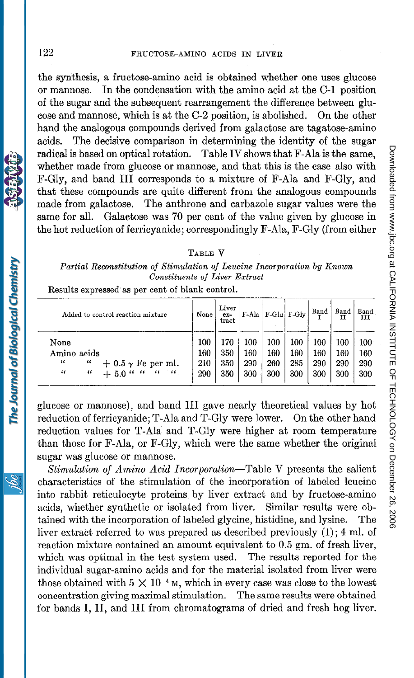the synthesis, a fructose-amino acid is obtained whether one uses glucose or mannose. In the condensation with the amino acid at the C-l position of the sugar and the subsequent rearrangement the difference between glucose and mannose, which is at the C-2 position, is abolished. On the other hand the analogous compounds derived from galactose are tagatose-amino acids. The decisive comparison in determining the identity of the sugar radical is based on optical rotation. Table IV shows that F-Ala is the same, whether made from glucose or mannose, and that this is the case also with F-Gly, and band III corresponds to a mixture of F-Ala and F-Gly, and that these compounds are quite different from the analogous compounds made from galactose. The anthrone and carbazole sugar values were the same for all. Galaetose was 70 per cent of the value given by glucose in the hot reduction of ferricyanide; correspondingly F-Ala, F-Gly (from either

### TABLE V

Partial Reconstitution of Stimulation of Leucine Incorporation by Known Constituents of Liver Extract

Results expressed-as per cent of blank control.

| Added to control reaction mixture                                                                                   | None                     | Liver<br>$ex-$<br>tract  |                          | F-Ala F-Glu F-Glv        |                          | Band                     | Band                     | Band<br>ĭП               |
|---------------------------------------------------------------------------------------------------------------------|--------------------------|--------------------------|--------------------------|--------------------------|--------------------------|--------------------------|--------------------------|--------------------------|
| None<br>Amino acids<br>$\epsilon$<br>"<br>$+$ 0.5 $\gamma$ Fe per ml.<br>$\epsilon$<br>$+5.0$ " "<br>"<br>"<br>- 66 | 100<br>160<br>210<br>290 | 170<br>350<br>350<br>350 | 100<br>160<br>290<br>300 | 100<br>160<br>260<br>300 | 100<br>160<br>285<br>300 | 100<br>160<br>290<br>300 | 100<br>160<br>290<br>300 | 100<br>160<br>290<br>300 |

glucose or mannose), and band III gave nearly t heoretical values by hot reduction of ferricyanide; T-Ala and T-Gly were lower. On the other hand reduction values for T-Ala and T-Gly were higher at room temperature than those for F-Ala, or F-Gly, which were the same whether the original sugar was glucose or mannose.

Stimulation of Amino Acid Incorporation-Table V presents the salient characteristics of the stimulation of the incorporation of labeled leucine into rabbit reticulocyte proteins by liver extract and by fructose-amino acids, whether synthetic or isolated from liver. Similar results were obtained with the incorporation of labeled glycine, histidine, and lysine. The liver extract referred to was prepared as described previously (1) ; 4 ml. of reaction mixture contained an amount equivalent to 0.5 gm. of fresh liver, which was optimal in the test system used. The results reported for the individual sugar-amino acids and for the material isolated from liver were those obtained with  $5 \times 10^{-4}$  M, which in every case was close to the lowest concentration giving maximal stimulation. The same results were obtained for bands I, II, and III from chromatograms of dried and fresh hog liver.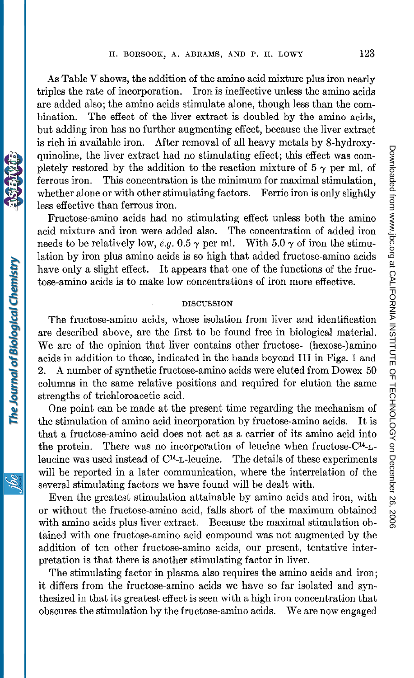As Table V shows, the addition of the amino acid mixture plus iron nearly triples the rate of incorporation. Iron is ineffective unless the amino acids are added also; the amino acids stimulate alone, though less than the combination. The effect of the liver extract is doubled by the amino acids, but adding iron has no further augmenting effect, because the liver extract is rich in available iron. After removal of all heavy metals by 8-hydroxyquinoline, the liver extract had no stimulating effect; this effect was completely restored by the addition to the reaction mixture of  $5 \gamma$  per ml. of ferrous iron. This concentration is the minimum for maximal stimulation, whether alone or with other stimulating factors. Ferric iron is only slightly less effective than ferrous iron.

Fructose-amino acids had no stimulating effect unless both the amino acid mixture and iron were added also. The concentration of added iron needs to be relatively low, e.g. 0.5  $\gamma$  per ml. With 5.0  $\gamma$  of iron the stimulation by iron plus amino acids is so high that added fructose-amino acids have only a slight effect. It appears that one of the functions of the fructose-amino acids is to make low concentrations of iron more effective.

### DISCUSSION

The fructose-amino acids, whose isolation from liver and identification are described above, are the first to be found free in biological material. We are of the opinion that liver contains other fructose- (hexose-)amino acids in addition to these, indicated in the bands beyond III in Figs. 1 and 2. A number of synthetic fructose-amino acids were eluted from Dowex 50 columns in the same relative positions and required for elution the same strengths of trichloroacetic acid.

One point can be made at the present time regarding the mechanism of the stimulation of amino acid incorporation by fructose-amino acids. It is that a fructose-amino acid does not act as a carrier of its amino acid into the protein. There was no incorporation of leucine when fructose- $C<sup>14</sup>-L$ leucine was used instead of C14-n-leucine. The details of these experiments will be reported in a later communication, where the interrelation of the several stimulating factors we have found will be dealt with.

Even the greatest stimulation attainable by amino acids and iron, with or without the fructose-amino acid, falls short of the maximum obtained with amino acids plus liver extract. Because the maximal stimulation obtained with one fructose-amino acid compound was not augmented by the addition of ten other fructose-amino acids, our present, tentative interpretation is that there is another stimulating factor in liver.

The stimulating factor in plasma also requires the amino acids and iron; it differs from the fructose-amino acids we have so far isolated and synthesized in that its greatest effect is seen with a high iron concentration that obscures the stimulation by the fructose-amino acids. We are now engaged